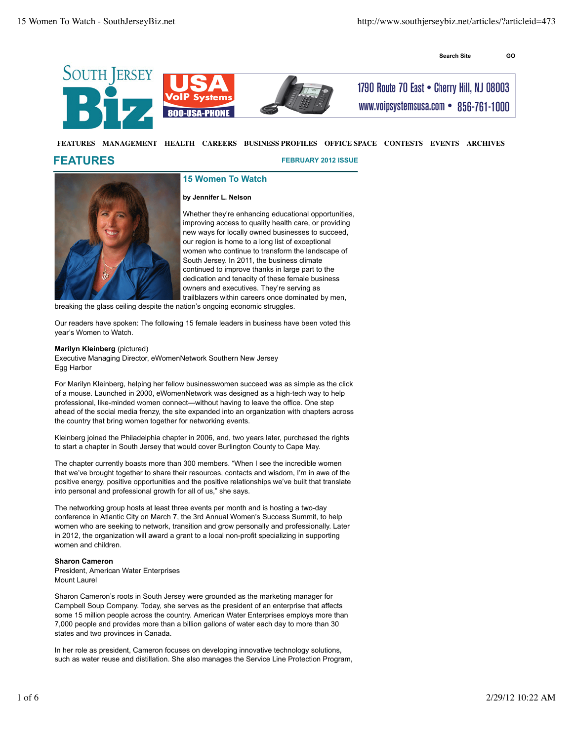**Search Site GO**







1790 Route 70 East . Cherry Hill, NJ 08003 www.voipsystemsusa.com • 856-761-1000

# **FEATURES MANAGEMENT HEALTH CAREERS BUSINESS PROFILES OFFICE SPACE CONTESTS EVENTS ARCHIVES**

# **FEATURES**

**FEBRUARY 2012 ISSUE**



**15 Women To Watch**

# **by Jennifer L. Nelson**

Whether they're enhancing educational opportunities, improving access to quality health care, or providing new ways for locally owned businesses to succeed, our region is home to a long list of exceptional women who continue to transform the landscape of South Jersey. In 2011, the business climate continued to improve thanks in large part to the dedication and tenacity of these female business owners and executives. They're serving as trailblazers within careers once dominated by men,

breaking the glass ceiling despite the nation's ongoing economic struggles.

Our readers have spoken: The following 15 female leaders in business have been voted this year's Women to Watch.

# **Marilyn Kleinberg** (pictured)

Executive Managing Director, eWomenNetwork Southern New Jersey Egg Harbor

For Marilyn Kleinberg, helping her fellow businesswomen succeed was as simple as the click of a mouse. Launched in 2000, eWomenNetwork was designed as a high-tech way to help professional, like-minded women connect—without having to leave the office. One step ahead of the social media frenzy, the site expanded into an organization with chapters across the country that bring women together for networking events.

Kleinberg joined the Philadelphia chapter in 2006, and, two years later, purchased the rights to start a chapter in South Jersey that would cover Burlington County to Cape May.

The chapter currently boasts more than 300 members. "When I see the incredible women that we've brought together to share their resources, contacts and wisdom, I'm in awe of the positive energy, positive opportunities and the positive relationships we've built that translate into personal and professional growth for all of us," she says.

The networking group hosts at least three events per month and is hosting a two-day conference in Atlantic City on March 7, the 3rd Annual Women's Success Summit, to help women who are seeking to network, transition and grow personally and professionally. Later in 2012, the organization will award a grant to a local non-profit specializing in supporting women and children.

# **Sharon Cameron**

President, American Water Enterprises Mount Laurel

Sharon Cameron's roots in South Jersey were grounded as the marketing manager for Campbell Soup Company. Today, she serves as the president of an enterprise that affects some 15 million people across the country. American Water Enterprises employs more than 7,000 people and provides more than a billion gallons of water each day to more than 30 states and two provinces in Canada.

In her role as president, Cameron focuses on developing innovative technology solutions, such as water reuse and distillation. She also manages the Service Line Protection Program,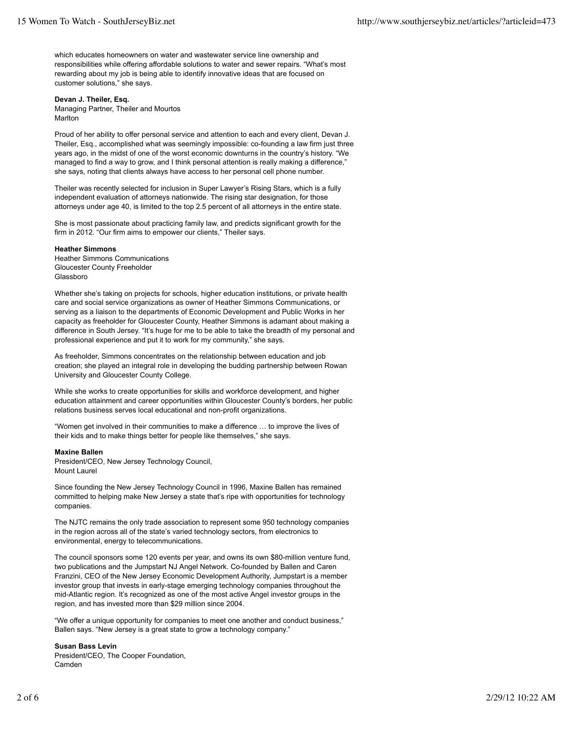which educates homeowners on water and wastewater service line ownership and responsibilities while offering affordable solutions to water and sewer repairs. "What's most rewarding about my job is being able to identify innovative ideas that are focused on customer solutions," she says.

# **Devan J. Theiler, Esq.**

Managing Partner, Theiler and Mourtos Marlton

Proud of her ability to offer personal service and attention to each and every client, Devan J. Theiler, Esq., accomplished what was seemingly impossible: co-founding a law firm just three years ago, in the midst of one of the worst economic downturns in the country's history. "We managed to find a way to grow, and I think personal attention is really making a difference," she says, noting that clients always have access to her personal cell phone number.

Theiler was recently selected for inclusion in Super Lawyer's Rising Stars, which is a fully independent evaluation of attorneys nationwide. The rising star designation, for those attorneys under age 40, is limited to the top 2.5 percent of all attorneys in the entire state.

She is most passionate about practicing family law, and predicts significant growth for the firm in 2012. "Our firm aims to empower our clients," Theiler says.

#### **Heather Simmons**

Heather Simmons Communications Gloucester County Freeholder Glassboro

Whether she's taking on projects for schools, higher education institutions, or private health care and social service organizations as owner of Heather Simmons Communications, or serving as a liaison to the departments of Economic Development and Public Works in her capacity as freeholder for Gloucester County, Heather Simmons is adamant about making a difference in South Jersey. "It's huge for me to be able to take the breadth of my personal and professional experience and put it to work for my community," she says.

As freeholder, Simmons concentrates on the relationship between education and job creation; she played an integral role in developing the budding partnership between Rowan University and Gloucester County College.

While she works to create opportunities for skills and workforce development, and higher education attainment and career opportunities within Gloucester County's borders, her public relations business serves local educational and non-profit organizations.

"Women get involved in their communities to make a difference … to improve the lives of their kids and to make things better for people like themselves," she says.

#### **Maxine Ballen**

President/CEO, New Jersey Technology Council, Mount Laurel

Since founding the New Jersey Technology Council in 1996, Maxine Ballen has remained committed to helping make New Jersey a state that's ripe with opportunities for technology companies.

The NJTC remains the only trade association to represent some 950 technology companies in the region across all of the state's varied technology sectors, from electronics to environmental, energy to telecommunications.

The council sponsors some 120 events per year, and owns its own \$80-million venture fund, two publications and the Jumpstart NJ Angel Network. Co-founded by Ballen and Caren Franzini, CEO of the New Jersey Economic Development Authority, Jumpstart is a member investor group that invests in early-stage emerging technology companies throughout the mid-Atlantic region. It's recognized as one of the most active Angel investor groups in the region, and has invested more than \$29 million since 2004.

"We offer a unique opportunity for companies to meet one another and conduct business," Ballen says. "New Jersey is a great state to grow a technology company."

#### **Susan Bass Levin**

President/CEO, The Cooper Foundation, Camden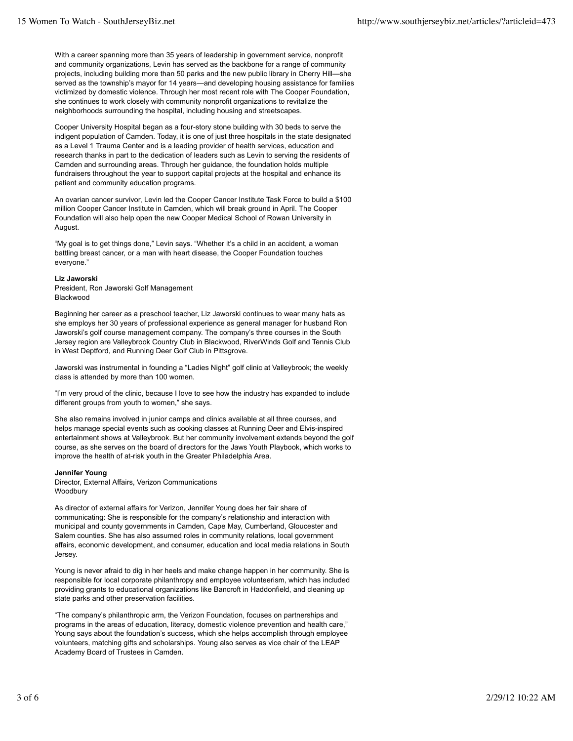With a career spanning more than 35 years of leadership in government service, nonprofit and community organizations, Levin has served as the backbone for a range of community projects, including building more than 50 parks and the new public library in Cherry Hill—she served as the township's mayor for 14 years—and developing housing assistance for families victimized by domestic violence. Through her most recent role with The Cooper Foundation, she continues to work closely with community nonprofit organizations to revitalize the neighborhoods surrounding the hospital, including housing and streetscapes.

Cooper University Hospital began as a four-story stone building with 30 beds to serve the indigent population of Camden. Today, it is one of just three hospitals in the state designated as a Level 1 Trauma Center and is a leading provider of health services, education and research thanks in part to the dedication of leaders such as Levin to serving the residents of Camden and surrounding areas. Through her guidance, the foundation holds multiple fundraisers throughout the year to support capital projects at the hospital and enhance its patient and community education programs.

An ovarian cancer survivor, Levin led the Cooper Cancer Institute Task Force to build a \$100 million Cooper Cancer Institute in Camden, which will break ground in April. The Cooper Foundation will also help open the new Cooper Medical School of Rowan University in August.

"My goal is to get things done," Levin says. "Whether it's a child in an accident, a woman battling breast cancer, or a man with heart disease, the Cooper Foundation touches everyone."

#### **Liz Jaworski**

President, Ron Jaworski Golf Management Blackwood

Beginning her career as a preschool teacher, Liz Jaworski continues to wear many hats as she employs her 30 years of professional experience as general manager for husband Ron Jaworski's golf course management company. The company's three courses in the South Jersey region are Valleybrook Country Club in Blackwood, RiverWinds Golf and Tennis Club in West Deptford, and Running Deer Golf Club in Pittsgrove.

Jaworski was instrumental in founding a "Ladies Night" golf clinic at Valleybrook; the weekly class is attended by more than 100 women.

"I'm very proud of the clinic, because I love to see how the industry has expanded to include different groups from youth to women," she says.

She also remains involved in junior camps and clinics available at all three courses, and helps manage special events such as cooking classes at Running Deer and Elvis-inspired entertainment shows at Valleybrook. But her community involvement extends beyond the golf course, as she serves on the board of directors for the Jaws Youth Playbook, which works to improve the health of at-risk youth in the Greater Philadelphia Area.

# **Jennifer Young**

Director, External Affairs, Verizon Communications **Woodbury** 

As director of external affairs for Verizon, Jennifer Young does her fair share of communicating: She is responsible for the company's relationship and interaction with municipal and county governments in Camden, Cape May, Cumberland, Gloucester and Salem counties. She has also assumed roles in community relations, local government affairs, economic development, and consumer, education and local media relations in South Jersey.

Young is never afraid to dig in her heels and make change happen in her community. She is responsible for local corporate philanthropy and employee volunteerism, which has included providing grants to educational organizations like Bancroft in Haddonfield, and cleaning up state parks and other preservation facilities.

"The company's philanthropic arm, the Verizon Foundation, focuses on partnerships and programs in the areas of education, literacy, domestic violence prevention and health care," Young says about the foundation's success, which she helps accomplish through employee volunteers, matching gifts and scholarships. Young also serves as vice chair of the LEAP Academy Board of Trustees in Camden.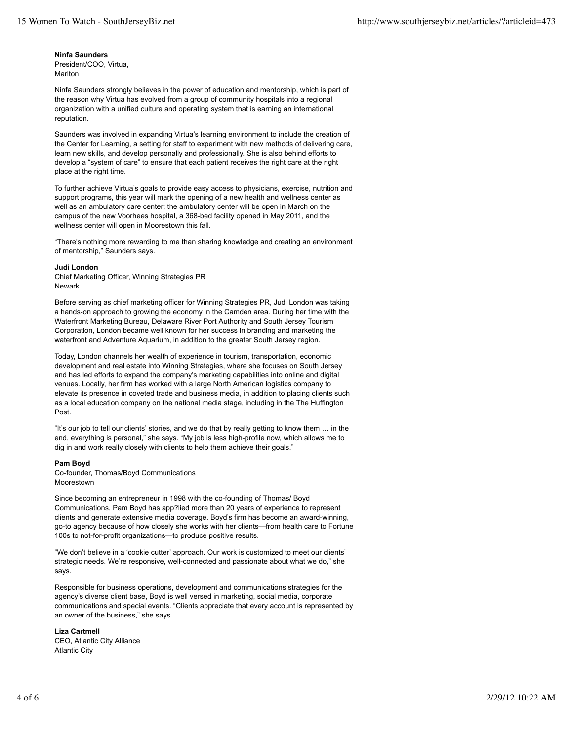# **Ninfa Saunders**

President/COO, Virtua, **Marlton** 

Ninfa Saunders strongly believes in the power of education and mentorship, which is part of the reason why Virtua has evolved from a group of community hospitals into a regional organization with a unified culture and operating system that is earning an international reputation.

Saunders was involved in expanding Virtua's learning environment to include the creation of the Center for Learning, a setting for staff to experiment with new methods of delivering care, learn new skills, and develop personally and professionally. She is also behind efforts to develop a "system of care" to ensure that each patient receives the right care at the right place at the right time.

To further achieve Virtua's goals to provide easy access to physicians, exercise, nutrition and support programs, this year will mark the opening of a new health and wellness center as well as an ambulatory care center; the ambulatory center will be open in March on the campus of the new Voorhees hospital, a 368-bed facility opened in May 2011, and the wellness center will open in Moorestown this fall.

"There's nothing more rewarding to me than sharing knowledge and creating an environment of mentorship," Saunders says.

# **Judi London**

Chief Marketing Officer, Winning Strategies PR Newark

Before serving as chief marketing officer for Winning Strategies PR, Judi London was taking a hands-on approach to growing the economy in the Camden area. During her time with the Waterfront Marketing Bureau, Delaware River Port Authority and South Jersey Tourism Corporation, London became well known for her success in branding and marketing the waterfront and Adventure Aquarium, in addition to the greater South Jersey region.

Today, London channels her wealth of experience in tourism, transportation, economic development and real estate into Winning Strategies, where she focuses on South Jersey and has led efforts to expand the company's marketing capabilities into online and digital venues. Locally, her firm has worked with a large North American logistics company to elevate its presence in coveted trade and business media, in addition to placing clients such as a local education company on the national media stage, including in the The Huffington Post.

"It's our job to tell our clients' stories, and we do that by really getting to know them … in the end, everything is personal," she says. "My job is less high-profile now, which allows me to dig in and work really closely with clients to help them achieve their goals."

# **Pam Boyd**

Co-founder, Thomas/Boyd Communications Moorestown

Since becoming an entrepreneur in 1998 with the co-founding of Thomas/ Boyd Communications, Pam Boyd has app?lied more than 20 years of experience to represent clients and generate extensive media coverage. Boyd's firm has become an award-winning, go-to agency because of how closely she works with her clients—from health care to Fortune 100s to not-for-profit organizations—to produce positive results.

"We don't believe in a 'cookie cutter' approach. Our work is customized to meet our clients' strategic needs. We're responsive, well-connected and passionate about what we do," she says.

Responsible for business operations, development and communications strategies for the agency's diverse client base, Boyd is well versed in marketing, social media, corporate communications and special events. "Clients appreciate that every account is represented by an owner of the business," she says.

# **Liza Cartmell**

CEO, Atlantic City Alliance Atlantic City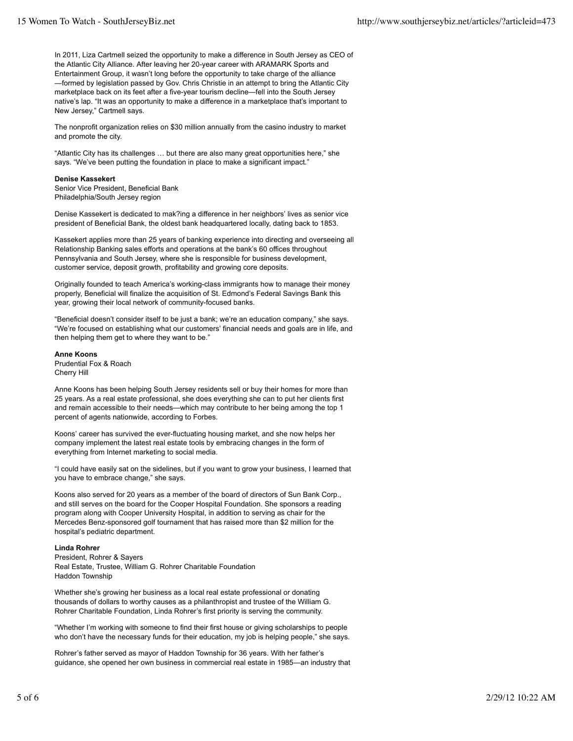In 2011, Liza Cartmell seized the opportunity to make a difference in South Jersey as CEO of the Atlantic City Alliance. After leaving her 20-year career with ARAMARK Sports and Entertainment Group, it wasn't long before the opportunity to take charge of the alliance —formed by legislation passed by Gov. Chris Christie in an attempt to bring the Atlantic City marketplace back on its feet after a five-year tourism decline—fell into the South Jersey native's lap. "It was an opportunity to make a difference in a marketplace that's important to New Jersey," Cartmell says.

The nonprofit organization relies on \$30 million annually from the casino industry to market and promote the city.

"Atlantic City has its challenges … but there are also many great opportunities here," she says. "We've been putting the foundation in place to make a significant impact."

# **Denise Kassekert**

Senior Vice President, Beneficial Bank Philadelphia/South Jersey region

Denise Kassekert is dedicated to mak?ing a difference in her neighbors' lives as senior vice president of Beneficial Bank, the oldest bank headquartered locally, dating back to 1853.

Kassekert applies more than 25 years of banking experience into directing and overseeing all Relationship Banking sales efforts and operations at the bank's 60 offices throughout Pennsylvania and South Jersey, where she is responsible for business development, customer service, deposit growth, profitability and growing core deposits.

Originally founded to teach America's working-class immigrants how to manage their money properly, Beneficial will finalize the acquisition of St. Edmond's Federal Savings Bank this year, growing their local network of community-focused banks.

"Beneficial doesn't consider itself to be just a bank; we're an education company," she says. "We're focused on establishing what our customers' financial needs and goals are in life, and then helping them get to where they want to be."

**Anne Koons** Prudential Fox & Roach Cherry Hill

Anne Koons has been helping South Jersey residents sell or buy their homes for more than 25 years. As a real estate professional, she does everything she can to put her clients first and remain accessible to their needs—which may contribute to her being among the top 1 percent of agents nationwide, according to Forbes.

Koons' career has survived the ever-fluctuating housing market, and she now helps her company implement the latest real estate tools by embracing changes in the form of everything from Internet marketing to social media.

"I could have easily sat on the sidelines, but if you want to grow your business, I learned that you have to embrace change," she says.

Koons also served for 20 years as a member of the board of directors of Sun Bank Corp., and still serves on the board for the Cooper Hospital Foundation. She sponsors a reading program along with Cooper University Hospital, in addition to serving as chair for the Mercedes Benz-sponsored golf tournament that has raised more than \$2 million for the hospital's pediatric department.

# **Linda Rohrer**

President, Rohrer & Sayers Real Estate, Trustee, William G. Rohrer Charitable Foundation Haddon Township

Whether she's growing her business as a local real estate professional or donating thousands of dollars to worthy causes as a philanthropist and trustee of the William G. Rohrer Charitable Foundation, Linda Rohrer's first priority is serving the community.

"Whether I'm working with someone to find their first house or giving scholarships to people who don't have the necessary funds for their education, my job is helping people," she says.

Rohrer's father served as mayor of Haddon Township for 36 years. With her father's guidance, she opened her own business in commercial real estate in 1985—an industry that